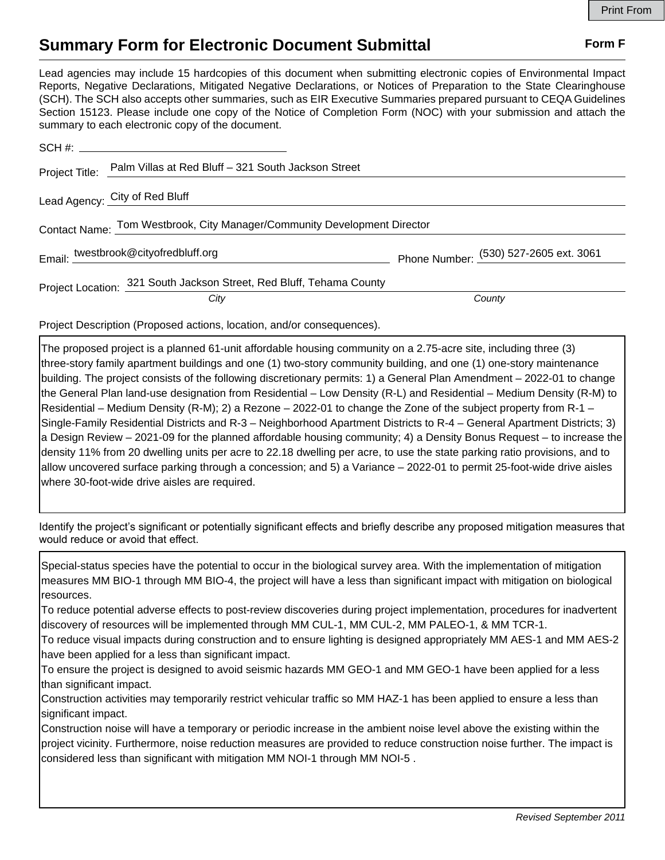## **Summary Form for Electronic Document Submittal Form F Form F**

Lead agencies may include 15 hardcopies of this document when submitting electronic copies of Environmental Impact Reports, Negative Declarations, Mitigated Negative Declarations, or Notices of Preparation to the State Clearinghouse (SCH). The SCH also accepts other summaries, such as EIR Executive Summaries prepared pursuant to CEQA Guidelines Section 15123. Please include one copy of the Notice of Completion Form (NOC) with your submission and attach the summary to each electronic copy of the document.

|                                                                          | Project Title: Palm Villas at Red Bluff - 321 South Jackson Street   |                                        |
|--------------------------------------------------------------------------|----------------------------------------------------------------------|----------------------------------------|
|                                                                          | Lead Agency: City of Red Bluff                                       |                                        |
| Contact Name: Tom Westbrook, City Manager/Community Development Director |                                                                      |                                        |
|                                                                          | Email: twestbrook@cityofredbluff.org                                 | Phone Number: (530) 527-2605 ext. 3061 |
|                                                                          | Project Location: 321 South Jackson Street, Red Bluff, Tehama County |                                        |
|                                                                          | City                                                                 | County                                 |

Project Description (Proposed actions, location, and/or consequences).

The proposed project is a planned 61-unit affordable housing community on a 2.75-acre site, including three (3) three-story family apartment buildings and one (1) two-story community building, and one (1) one-story maintenance building. The project consists of the following discretionary permits: 1) a General Plan Amendment – 2022-01 to change the General Plan land-use designation from Residential – Low Density (R-L) and Residential – Medium Density (R-M) to Residential – Medium Density (R-M); 2) a Rezone – 2022-01 to change the Zone of the subject property from R-1 – Single-Family Residential Districts and R-3 – Neighborhood Apartment Districts to R-4 – General Apartment Districts; 3) a Design Review – 2021-09 for the planned affordable housing community; 4) a Density Bonus Request – to increase the density 11% from 20 dwelling units per acre to 22.18 dwelling per acre, to use the state parking ratio provisions, and to allow uncovered surface parking through a concession; and 5) a Variance – 2022-01 to permit 25-foot-wide drive aisles where 30-foot-wide drive aisles are required.

Identify the project's significant or potentially significant effects and briefly describe any proposed mitigation measures that would reduce or avoid that effect.

Special-status species have the potential to occur in the biological survey area. With the implementation of mitigation measures MM BIO-1 through MM BIO-4, the project will have a less than significant impact with mitigation on biological resources.

To reduce potential adverse effects to post-review discoveries during project implementation, procedures for inadvertent discovery of resources will be implemented through MM CUL-1, MM CUL-2, MM PALEO-1, & MM TCR-1.

To reduce visual impacts during construction and to ensure lighting is designed appropriately MM AES-1 and MM AES-2 have been applied for a less than significant impact.

To ensure the project is designed to avoid seismic hazards MM GEO-1 and MM GEO-1 have been applied for a less than significant impact.

Construction activities may temporarily restrict vehicular traffic so MM HAZ-1 has been applied to ensure a less than significant impact.

Construction noise will have a temporary or periodic increase in the ambient noise level above the existing within the project vicinity. Furthermore, noise reduction measures are provided to reduce construction noise further. The impact is considered less than significant with mitigation MM NOI-1 through MM NOI-5 .